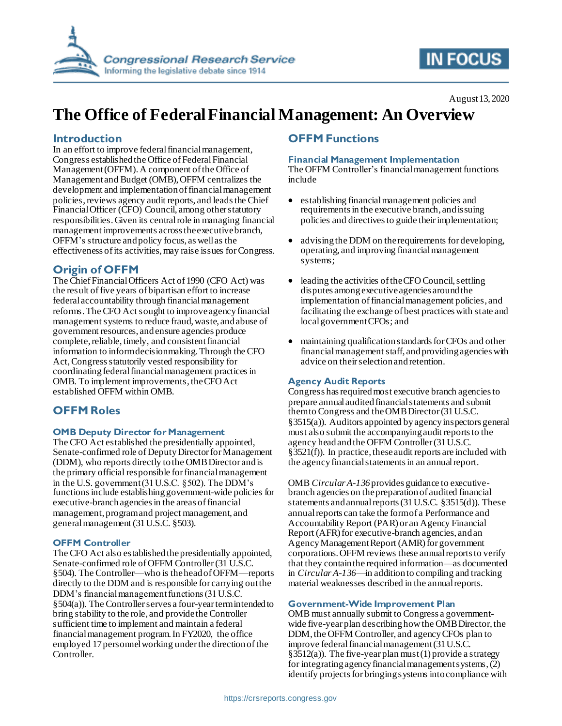

# **IN FOCUS**

# **The Office of Federal Financial Management: An Overview**

### **Introduction**

In an effort to improve federal financial management, Congress established the Office of Federal Financial Management (OFFM). A component of the Office of Management and Budget (OMB), OFFM centralizes the development and implementation of financial management policies, reviews agency audit reports, and leads the Chief Financial Officer (CFO) Council, among other statutory responsibilities. Given its central role in managing financial management improvements across the executive branch, OFFM's structure and policy focus, as well as the effectiveness of its activities,may raise issues for Congress.

## **Origin of OFFM**

The Chief Financial Officers Act of 1990 (CFO Act) was the result offive years of bipartisan effort to increase federal accountability through financial management reforms. The CFO Act sought to improve agency financial management systems to reduce fraud, waste, and abuse of government resources, and ensure agencies produce complete, reliable, timely, and consistent financial information to inform decisionmaking. Through the CFO Act, Congress statutorily vested responsibility for coordinating federal financial management practices in OMB. To implement improvements, the CFO Act established OFFM within OMB.

## **OFFM Roles**

#### **OMB Deputy Director for Management**

The CFO Act established the presidentially appointed, Senate-confirmed role of Deputy Director for Management (DDM), who reports directly to the OMB Director and is the primary official responsible for financial management in the U.S. government (31 U.S.C. §502). The DDM's functions include establishing government-wide policies for executive-branchagencies in the areas of financial management, program and project management, and general management (31 U.S.C. §503).

#### **OFFM Controller**

The CFO Act also established the presidentially appointed, Senate-confirmed role of OFFM Controller (31 U.S.C. §504). The Controller—who is the head of OFFM—reports directly to the DDM and is responsible for carrying out the DDM's financial management functions (31 U.S.C.  $§504(a)$ ). The Controller serves a four-year term intended to bring stability to the role, and providethe Controller sufficient time to implement and maintain a federal financial management program. In FY2020, the office employed 17 personnel working under the direction of the Controller.

### **OFFM Functions**

#### **Financial Management Implementation**

The OFFM Controller's financial management functions include

- establishing financial management policies and requirements in the executive branch, and issuing policies and directives to guide their implementation;
- advising the DDM on the requirements for developing, operating, and improving financial management systems;
- leading the activities of the CFO Council, settling disputes among executive agencies around the implementation of financial management policies, and facilitating the exchange of best practices with state and local government CFOs; and
- maintaining qualification standards for CFOs and other financial management staff, and providing agencies with advice on their selection and retention.

#### **Agency Audit Reports**

Congress has required most executive branch agencies to prepare annual audited financial statements and submit them to Congress and the OMB Director (31 U.S.C. §3515(a)). Auditors appointed by agency inspectors general must also submit the accompanying audit reports to the agency head and the OFFM Controller(31 U.S.C. §3521(f)). In practice, these audit reports are included with the agency financial statements in an annual report.

OMB *Circular A-136*provides guidance to executivebranch agencies on the preparation of audited financial statements and annual reports (31 U.S.C. §3515(d)). These annual reports can take the form of a Performance and Accountability Report (PAR) or an Agency Financial Report (AFR) for executive-branch agencies, and an Agency Management Report (AMR) for government corporations. OFFM reviews these annual reports to verify that they contain the required information—as documented in *Circular A-136*—in addition to compiling and tracking material weaknesses described in the annual reports.

#### **Government-Wide Improvement Plan**

OMB must annually submit to Congress a governmentwide five-year plan describing how the OMB Director, the DDM, the OFFM Controller, and agency CFOs plan to improve federal financial management (31 U.S.C. §3512(a)). The five-year plan must (1) provide a strategy for integrating agency financial management systems, (2) identify projects for bringing systems into compliance with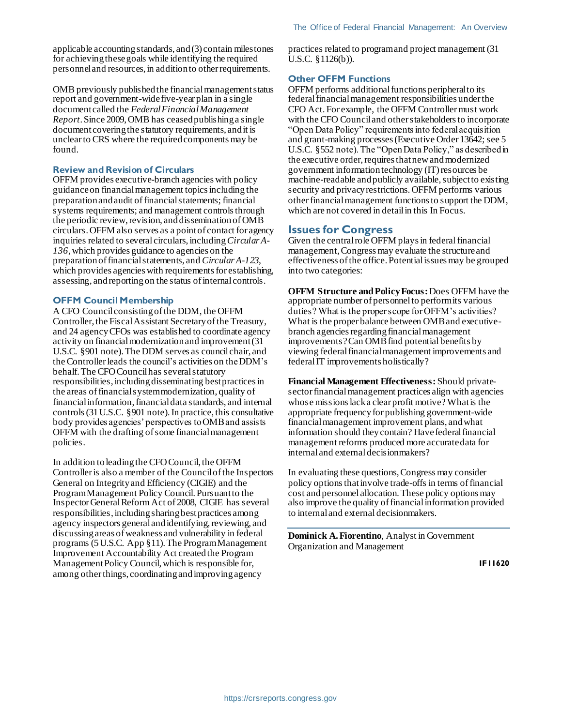applicable accounting standards, and (3) contain milestones for achieving these goals while identifying the required personnel and resources, in addition to other requirements.

OMB previously published the financial management status report and government-wide five-year plan in a single document called the *Federal Financial Management Report*. Since 2009, OMB has ceased publishing a single document covering the statutory requirements, and it is unclear to CRS where the required components may be found.

#### **Review and Revision of Circulars**

OFFM provides executive-branch agencies with policy guidance on financial management topics including the preparation and audit of financial statements; financial systems requirements; and management controls through the periodic review, revision, and dissemination of OMB circulars. OFFM also serves as a point of contact for agency inquiries related to several circulars, including *Circular A-136*, which provides guidance to agencies on the preparation of financial statements, and *Circular A-123*, which provides agencies with requirements for establishing, assessing, and reporting on the status of internal controls.

#### **OFFM Council Membership**

A CFO Council consisting of the DDM, the OFFM Controller, the Fiscal Assistant Secretary of the Treasury, and 24 agency CFOs was established to coordinate agency activity on financial modernization and improvement (31 U.S.C. §901 note). The DDM serves as council chair, and the Controller leads the council's activities on the DDM's behalf. The CFO Council has several statutory responsibilities, including disseminating best practices in the areas of financial system modernization, quality of financial information, financial data standards, and internal controls(31 U.S.C. §901 note).In practice, this consultative body provides agencies' perspectives to OMB and assists OFFM with the drafting of some financial management policies.

In addition to leading the CFO Council, the OFFM Controller is also a member of the Council of the Inspectors General on Integrity and Efficiency (CIGIE) and the Program Management Policy Council. Pursuant to the Inspector General Reform Act of 2008, CIGIE has several responsibilities, including sharing best practices among agency inspectors general and identifying, reviewing, and discussing areas of weakness and vulnerability in federal programs (5 U.S.C. App §11). The Program Management Improvement Accountability Act created the Program Management Policy Council, which is responsible for, among other things, coordinating and improving agency

practices related to program and project management (31 U.S.C. §1126(b)).

#### **Other OFFM Functions**

OFFM performs additional functions peripheral to its federal financial management responsibilities under the CFO Act. For example, the OFFM Controller must work with the CFO Council and other stakeholders to incorporate "Open Data Policy" requirements into federal acquisition and grant-making processes (Executive Order 13642; see 5 U.S.C. §552 note). The "Open Data Policy," as described in the executive order, requires that new and modernized government information technology (IT) resources be machine-readable and publicly available, subject to existing security and privacy restrictions. OFFM performs various other financial management functionsto support the DDM, which are not covered in detail in this In Focus.

#### **Issues for Congress**

Given the central role OFFM plays in federal financial management, Congress may evaluate the structure and effectiveness of the office. Potential issues may be grouped into two categories:

**OFFM Structure and Policy Focus:**Does OFFM have the appropriate number of personnel to perform its various duties? What is the proper scope for OFFM's activities? What is the proper balance between OMB and executivebranch agencies regarding financial management improvements? Can OMB find potential benefits by viewing federal financial management improvements and federal IT improvements holistically?

**Financial Management Effectiveness:** Should privatesector financial management practices align with agencies whose missions lack a clear profit motive? What is the appropriate frequency for publishing government-wide financial management improvement plans, and what information should theycontain? Have federal financial management reforms produced more accurate data for internal and external decisionmakers?

In evaluating these questions, Congress may consider policy options that involve trade-offs in terms of financial cost and personnel allocation.These policy options may also improve the quality of financial information provided to internal and external decisionmakers.

**Dominick A. Fiorentino**, Analyst in Government Organization and Management

**IF11620**